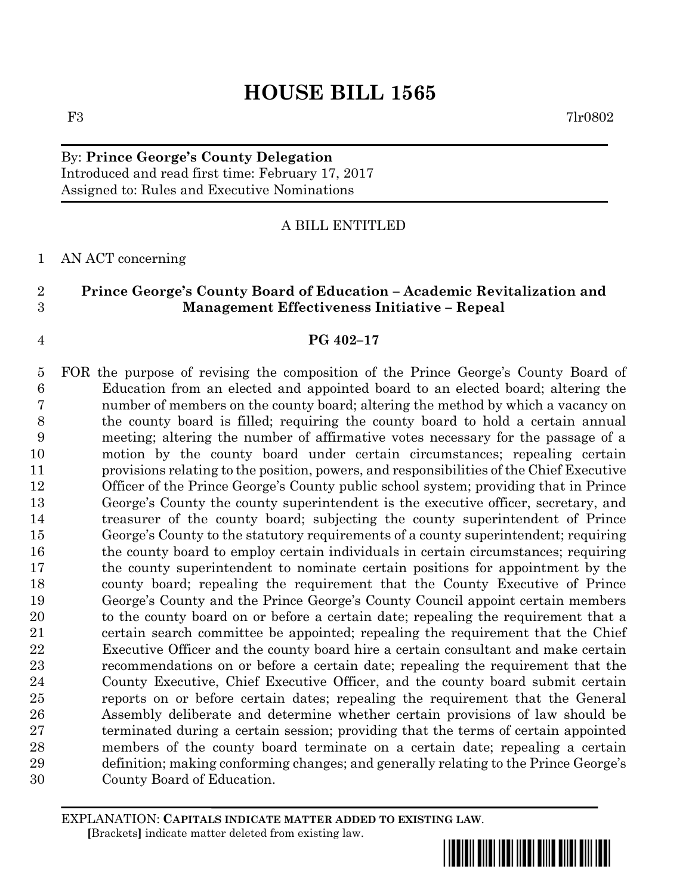# By: **Prince George's County Delegation** Introduced and read first time: February 17, 2017 Assigned to: Rules and Executive Nominations

# A BILL ENTITLED

### AN ACT concerning

# **Prince George's County Board of Education – Academic Revitalization and Management Effectiveness Initiative – Repeal**

### **PG 402–17**

 FOR the purpose of revising the composition of the Prince George's County Board of Education from an elected and appointed board to an elected board; altering the number of members on the county board; altering the method by which a vacancy on the county board is filled; requiring the county board to hold a certain annual meeting; altering the number of affirmative votes necessary for the passage of a motion by the county board under certain circumstances; repealing certain provisions relating to the position, powers, and responsibilities of the Chief Executive Officer of the Prince George's County public school system; providing that in Prince George's County the county superintendent is the executive officer, secretary, and treasurer of the county board; subjecting the county superintendent of Prince George's County to the statutory requirements of a county superintendent; requiring the county board to employ certain individuals in certain circumstances; requiring the county superintendent to nominate certain positions for appointment by the county board; repealing the requirement that the County Executive of Prince George's County and the Prince George's County Council appoint certain members to the county board on or before a certain date; repealing the requirement that a certain search committee be appointed; repealing the requirement that the Chief Executive Officer and the county board hire a certain consultant and make certain recommendations on or before a certain date; repealing the requirement that the County Executive, Chief Executive Officer, and the county board submit certain reports on or before certain dates; repealing the requirement that the General Assembly deliberate and determine whether certain provisions of law should be terminated during a certain session; providing that the terms of certain appointed members of the county board terminate on a certain date; repealing a certain definition; making conforming changes; and generally relating to the Prince George's County Board of Education.

EXPLANATION: **CAPITALS INDICATE MATTER ADDED TO EXISTING LAW**.  **[**Brackets**]** indicate matter deleted from existing law.

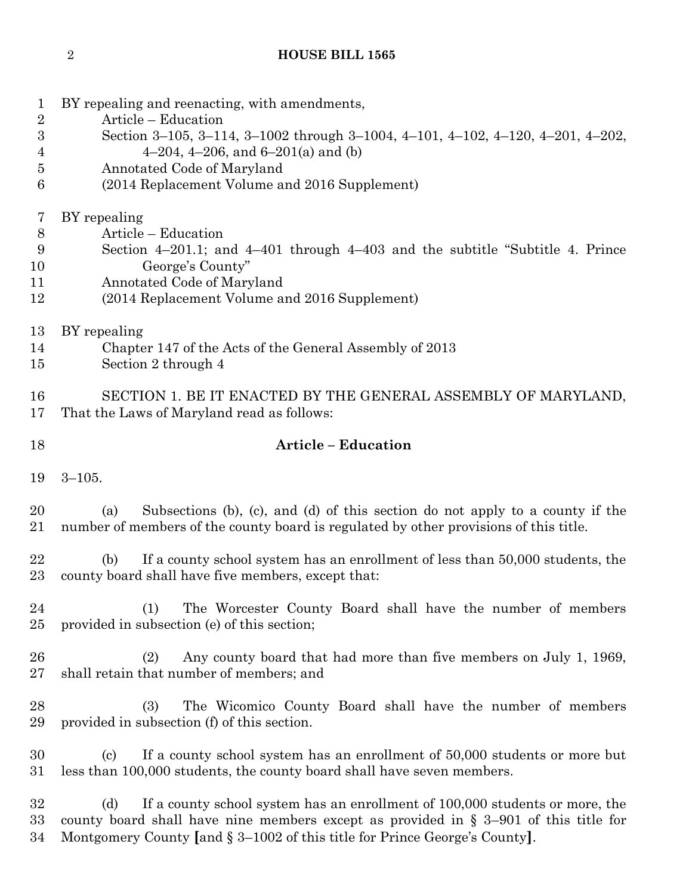- BY repealing and reenacting, with amendments,
- Article Education
- Section 3–105, 3–114, 3–1002 through 3–1004, 4–101, 4–102, 4–120, 4–201, 4–202,
- 4 4–204, 4–206, and  $6-201(a)$  and (b)
- Annotated Code of Maryland
- (2014 Replacement Volume and 2016 Supplement)

BY repealing

- Article Education
- Section 4–201.1; and 4–401 through 4–403 and the subtitle "Subtitle 4. Prince George's County"
- Annotated Code of Maryland
- (2014 Replacement Volume and 2016 Supplement)
- BY repealing
- Chapter 147 of the Acts of the General Assembly of 2013
- Section 2 through 4

 SECTION 1. BE IT ENACTED BY THE GENERAL ASSEMBLY OF MARYLAND, That the Laws of Maryland read as follows:

# **Article – Education**

3–105.

 (a) Subsections (b), (c), and (d) of this section do not apply to a county if the number of members of the county board is regulated by other provisions of this title.

 (b) If a county school system has an enrollment of less than 50,000 students, the county board shall have five members, except that:

 (1) The Worcester County Board shall have the number of members provided in subsection (e) of this section;

 (2) Any county board that had more than five members on July 1, 1969, shall retain that number of members; and

 (3) The Wicomico County Board shall have the number of members provided in subsection (f) of this section.

 (c) If a county school system has an enrollment of 50,000 students or more but less than 100,000 students, the county board shall have seven members.

 (d) If a county school system has an enrollment of 100,000 students or more, the county board shall have nine members except as provided in § 3–901 of this title for Montgomery County **[**and § 3–1002 of this title for Prince George's County**]**.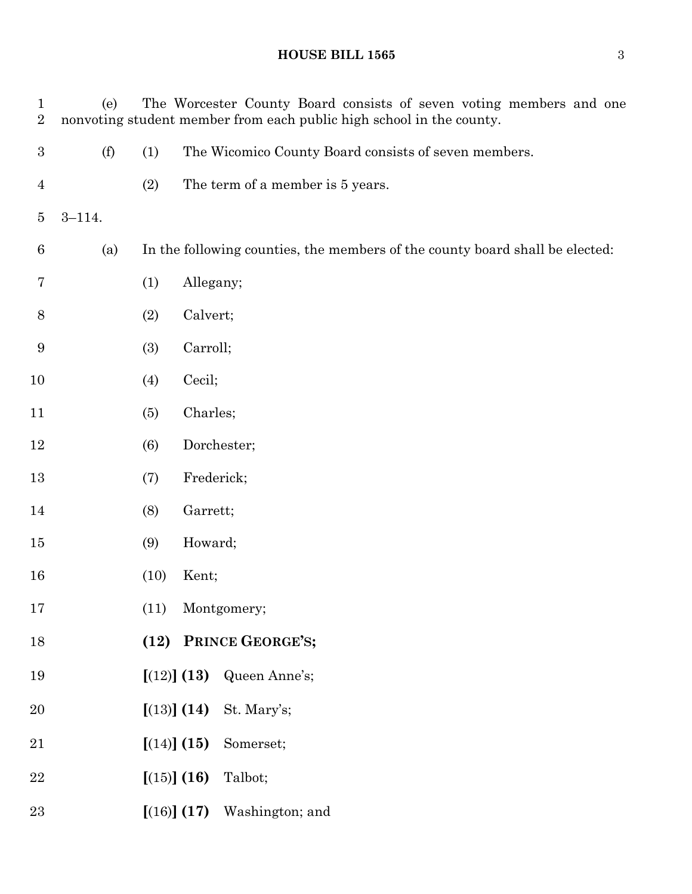| $\mathbf 1$<br>$\overline{2}$ | (e)        |             | The Worcester County Board consists of seven voting members and one<br>nonvoting student member from each public high school in the county. |
|-------------------------------|------------|-------------|---------------------------------------------------------------------------------------------------------------------------------------------|
| $\boldsymbol{3}$              | (f)        | (1)         | The Wicomico County Board consists of seven members.                                                                                        |
| 4                             |            | (2)         | The term of a member is 5 years.                                                                                                            |
| $\overline{5}$                | $3 - 114.$ |             |                                                                                                                                             |
| $6\phantom{.}6$               | (a)        |             | In the following counties, the members of the county board shall be elected:                                                                |
| 7                             |            | (1)         | Allegany;                                                                                                                                   |
| 8                             |            | (2)         | Calvert;                                                                                                                                    |
| 9                             |            | (3)         | Carroll;                                                                                                                                    |
| 10                            |            | (4)         | Cecil;                                                                                                                                      |
| 11                            |            | (5)         | Charles;                                                                                                                                    |
| 12                            |            | (6)         | Dorchester;                                                                                                                                 |
| 13                            |            | (7)         | Frederick;                                                                                                                                  |
| 14                            |            | (8)         | Garrett;                                                                                                                                    |
| 15                            |            | (9)         | Howard;                                                                                                                                     |
| 16                            |            | (10)        | Kent;                                                                                                                                       |
| 17                            |            | (11)        | Montgomery;                                                                                                                                 |
| 18                            |            |             | (12) PRINCE GEORGE'S;                                                                                                                       |
| 19                            |            |             | [(12)] (13)<br>Queen Anne's;                                                                                                                |
| 20                            |            |             | $(13)$ $(14)$ St. Mary's;                                                                                                                   |
| 21                            |            | [(14)] (15) | Somerset;                                                                                                                                   |
| 22                            |            | [(15)] (16) | Talbot;                                                                                                                                     |
| 23                            |            |             | $(16)$ $(17)$ Washington; and                                                                                                               |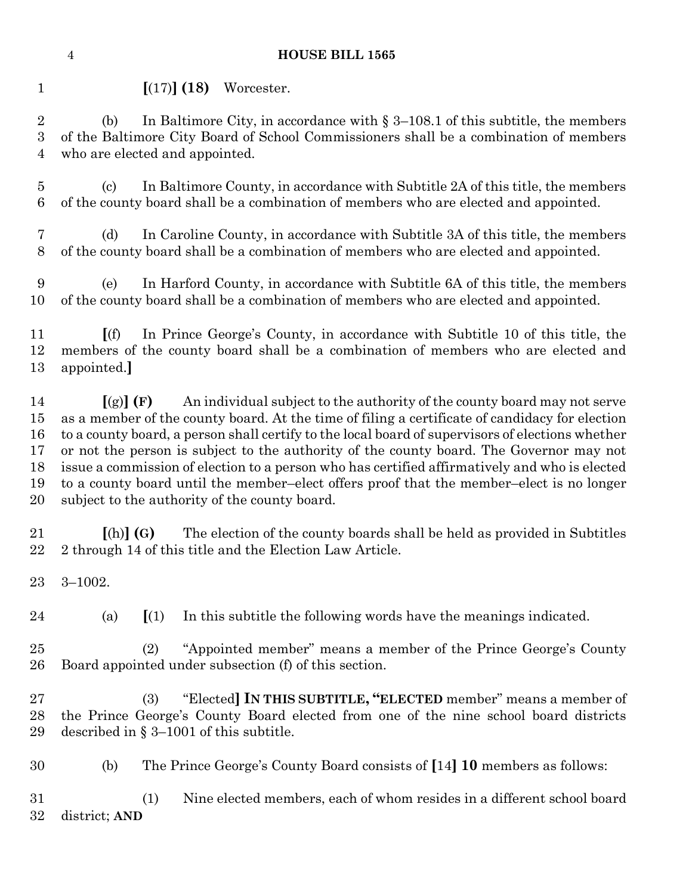**[**(17)**] (18)** Worcester.

 (b) In Baltimore City, in accordance with § 3–108.1 of this subtitle, the members of the Baltimore City Board of School Commissioners shall be a combination of members who are elected and appointed.

 (c) In Baltimore County, in accordance with Subtitle 2A of this title, the members of the county board shall be a combination of members who are elected and appointed.

 (d) In Caroline County, in accordance with Subtitle 3A of this title, the members of the county board shall be a combination of members who are elected and appointed.

 (e) In Harford County, in accordance with Subtitle 6A of this title, the members of the county board shall be a combination of members who are elected and appointed.

 **[**(f) In Prince George's County, in accordance with Subtitle 10 of this title, the members of the county board shall be a combination of members who are elected and appointed.**]**

 **[**(g)**] (F)** An individual subject to the authority of the county board may not serve as a member of the county board. At the time of filing a certificate of candidacy for election to a county board, a person shall certify to the local board of supervisors of elections whether or not the person is subject to the authority of the county board. The Governor may not issue a commission of election to a person who has certified affirmatively and who is elected to a county board until the member–elect offers proof that the member–elect is no longer subject to the authority of the county board.

 **[**(h)**] (G)** The election of the county boards shall be held as provided in Subtitles 2 through 14 of this title and the Election Law Article.

- 3–1002.
- 

(a) **[**(1) In this subtitle the following words have the meanings indicated.

 (2) "Appointed member" means a member of the Prince George's County Board appointed under subsection (f) of this section.

 (3) "Elected**] IN THIS SUBTITLE, "ELECTED** member" means a member of the Prince George's County Board elected from one of the nine school board districts described in § 3–1001 of this subtitle.

(b) The Prince George's County Board consists of **[**14**] 10** members as follows:

 (1) Nine elected members, each of whom resides in a different school board district; **AND**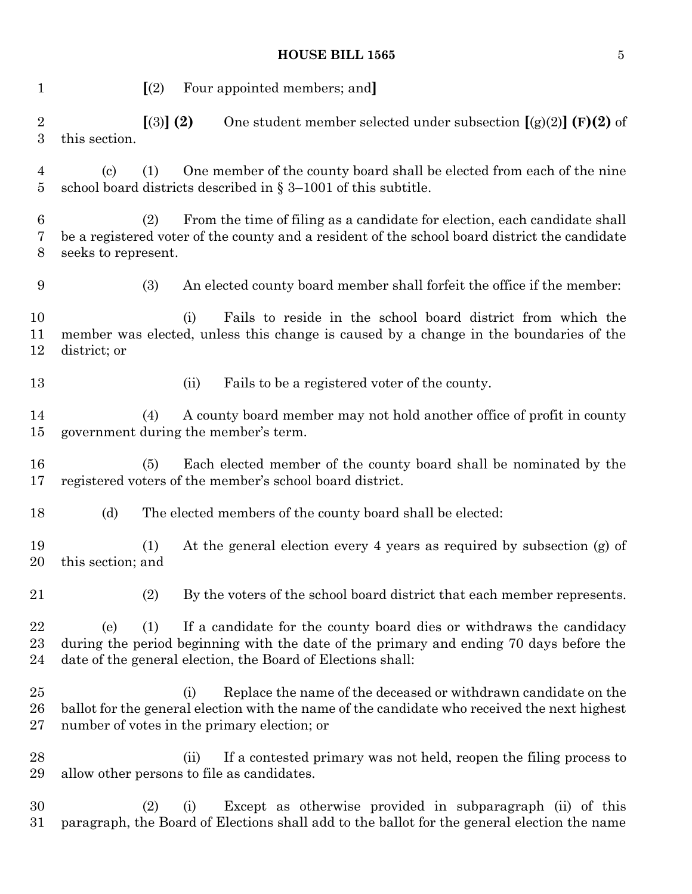| $\mathbf{1}$           |                     | $\left[\frac{2}{2}\right]$ |      | Four appointed members; and                                                                                                                                                                                                  |
|------------------------|---------------------|----------------------------|------|------------------------------------------------------------------------------------------------------------------------------------------------------------------------------------------------------------------------------|
| $\boldsymbol{2}$<br>3  | this section.       | [3] (2)                    |      | One student member selected under subsection $[(g)(2)]$ (F)(2) of                                                                                                                                                            |
| 4<br>5                 | (c)                 | (1)                        |      | One member of the county board shall be elected from each of the nine<br>school board districts described in $\S 3-1001$ of this subtitle.                                                                                   |
| 6<br>7<br>8            | seeks to represent. | (2)                        |      | From the time of filing as a candidate for election, each candidate shall<br>be a registered voter of the county and a resident of the school board district the candidate                                                   |
| 9                      |                     | (3)                        |      | An elected county board member shall forfeit the office if the member:                                                                                                                                                       |
| 10<br>11<br>12         | district; or        |                            | (i)  | Fails to reside in the school board district from which the<br>member was elected, unless this change is caused by a change in the boundaries of the                                                                         |
| 13                     |                     |                            | (ii) | Fails to be a registered voter of the county.                                                                                                                                                                                |
| 14<br>15               |                     | (4)                        |      | A county board member may not hold another office of profit in county<br>government during the member's term.                                                                                                                |
| 16<br>17               |                     | (5)                        |      | Each elected member of the county board shall be nominated by the<br>registered voters of the member's school board district.                                                                                                |
| 18                     | (d)                 |                            |      | The elected members of the county board shall be elected:                                                                                                                                                                    |
| 19<br>20               | this section; and   | (1)                        |      | At the general election every 4 years as required by subsection (g) of                                                                                                                                                       |
| 21                     |                     | (2)                        |      | By the voters of the school board district that each member represents.                                                                                                                                                      |
| 22<br>$\rm 23$<br>24   | (e)                 | (1)                        |      | If a candidate for the county board dies or withdraws the candidacy<br>during the period beginning with the date of the primary and ending 70 days before the<br>date of the general election, the Board of Elections shall: |
| $25\,$<br>26<br>$27\,$ |                     |                            | (i)  | Replace the name of the deceased or withdrawn candidate on the<br>ballot for the general election with the name of the candidate who received the next highest<br>number of votes in the primary election; or                |
| 28<br>29               |                     |                            | (ii) | If a contested primary was not held, reopen the filing process to<br>allow other persons to file as candidates.                                                                                                              |
| 30<br>$31\,$           |                     | (2)                        | (i)  | Except as otherwise provided in subparagraph (ii) of this<br>paragraph, the Board of Elections shall add to the ballot for the general election the name                                                                     |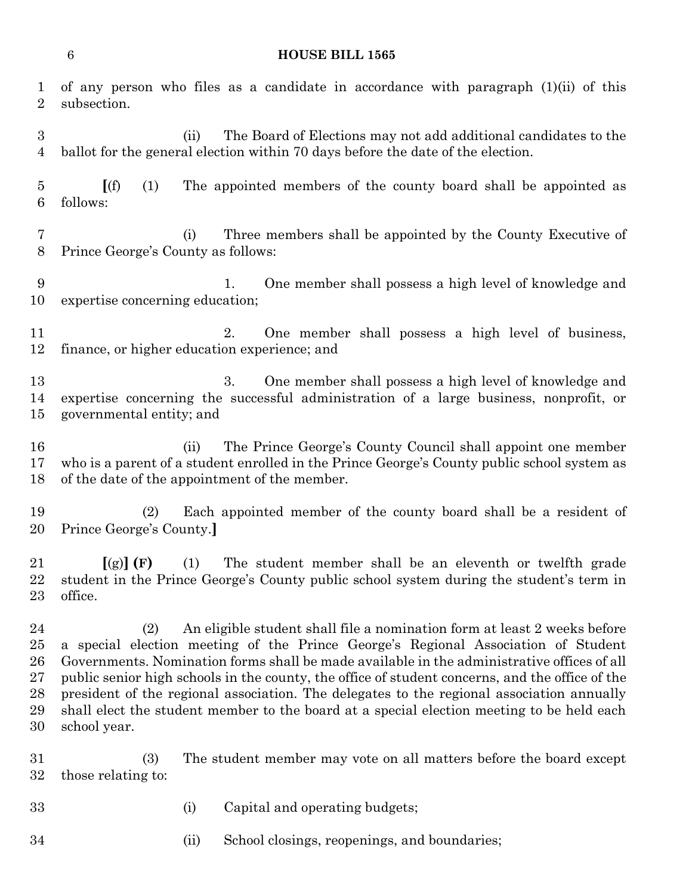| 1<br>$\overline{2}$                    | subsection.                                                                                                                                                                                                                                                                                                                                                                                                                                                                                                                                                                     |      | of any person who files as a candidate in accordance with paragraph $(1)(ii)$ of this                                                                      |  |
|----------------------------------------|---------------------------------------------------------------------------------------------------------------------------------------------------------------------------------------------------------------------------------------------------------------------------------------------------------------------------------------------------------------------------------------------------------------------------------------------------------------------------------------------------------------------------------------------------------------------------------|------|------------------------------------------------------------------------------------------------------------------------------------------------------------|--|
| $\boldsymbol{3}$<br>$\overline{4}$     |                                                                                                                                                                                                                                                                                                                                                                                                                                                                                                                                                                                 | (ii) | The Board of Elections may not add additional candidates to the<br>ballot for the general election within 70 days before the date of the election.         |  |
| $\overline{5}$<br>$6\phantom{.}6$      | (f)<br>(1)<br>follows:                                                                                                                                                                                                                                                                                                                                                                                                                                                                                                                                                          |      | The appointed members of the county board shall be appointed as                                                                                            |  |
| 7<br>$8\,$                             | (i)<br>Prince George's County as follows:                                                                                                                                                                                                                                                                                                                                                                                                                                                                                                                                       |      | Three members shall be appointed by the County Executive of                                                                                                |  |
| 9<br>10                                | expertise concerning education;                                                                                                                                                                                                                                                                                                                                                                                                                                                                                                                                                 |      | One member shall possess a high level of knowledge and<br>1.                                                                                               |  |
| 11<br>12                               | finance, or higher education experience; and                                                                                                                                                                                                                                                                                                                                                                                                                                                                                                                                    |      | One member shall possess a high level of business,<br>2.                                                                                                   |  |
| 13<br>14<br>15                         | governmental entity; and                                                                                                                                                                                                                                                                                                                                                                                                                                                                                                                                                        |      | 3.<br>One member shall possess a high level of knowledge and<br>expertise concerning the successful administration of a large business, nonprofit, or      |  |
| 16<br>17<br>18                         | of the date of the appointment of the member.                                                                                                                                                                                                                                                                                                                                                                                                                                                                                                                                   | (ii) | The Prince George's County Council shall appoint one member<br>who is a parent of a student enrolled in the Prince George's County public school system as |  |
| 19<br>20                               | (2)<br>Prince George's County.                                                                                                                                                                                                                                                                                                                                                                                                                                                                                                                                                  |      | Each appointed member of the county board shall be a resident of                                                                                           |  |
| 21<br>22<br>23                         | (1)<br>$\left[\text{(g)}\right]$ (F)<br>office.                                                                                                                                                                                                                                                                                                                                                                                                                                                                                                                                 |      | The student member shall be an eleventh or twelfth grade<br>student in the Prince George's County public school system during the student's term in        |  |
| 24<br>25<br>26<br>27<br>28<br>29<br>30 | (2)<br>An eligible student shall file a nomination form at least 2 weeks before<br>a special election meeting of the Prince George's Regional Association of Student<br>Governments. Nomination forms shall be made available in the administrative offices of all<br>public senior high schools in the county, the office of student concerns, and the office of the<br>president of the regional association. The delegates to the regional association annually<br>shall elect the student member to the board at a special election meeting to be held each<br>school year. |      |                                                                                                                                                            |  |
| 31<br>32                               | (3)<br>those relating to:                                                                                                                                                                                                                                                                                                                                                                                                                                                                                                                                                       |      | The student member may vote on all matters before the board except                                                                                         |  |
| 33                                     | (i)                                                                                                                                                                                                                                                                                                                                                                                                                                                                                                                                                                             |      | Capital and operating budgets;                                                                                                                             |  |
| 34                                     |                                                                                                                                                                                                                                                                                                                                                                                                                                                                                                                                                                                 | (ii) | School closings, reopenings, and boundaries;                                                                                                               |  |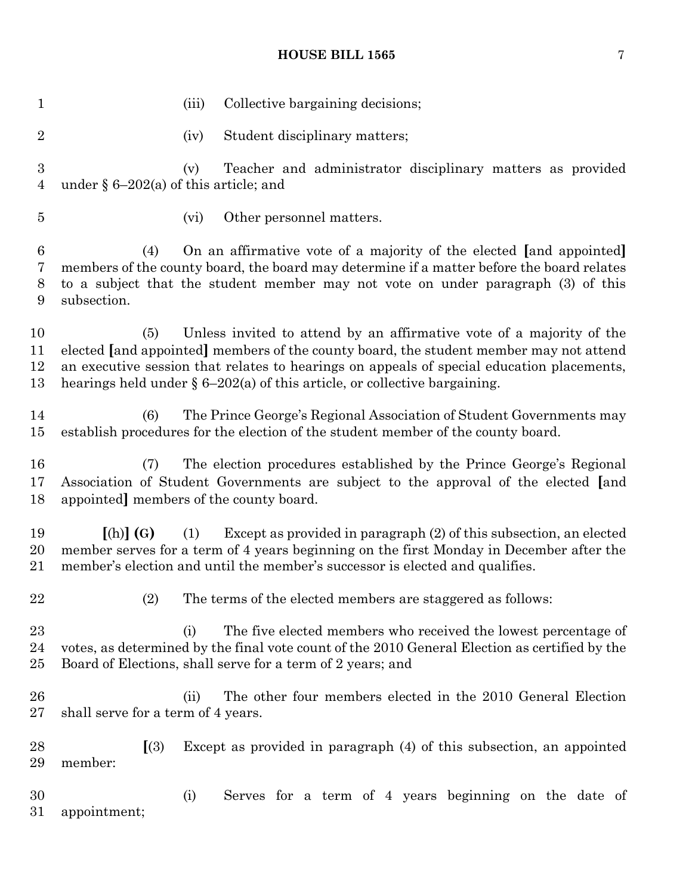1 (iii) Collective bargaining decisions; 2 (iv) Student disciplinary matters; (v) Teacher and administrator disciplinary matters as provided under § 6–202(a) of this article; and (vi) Other personnel matters. (4) On an affirmative vote of a majority of the elected **[**and appointed**]** members of the county board, the board may determine if a matter before the board relates to a subject that the student member may not vote on under paragraph (3) of this subsection. (5) Unless invited to attend by an affirmative vote of a majority of the elected **[**and appointed**]** members of the county board, the student member may not attend an executive session that relates to hearings on appeals of special education placements, hearings held under § 6–202(a) of this article, or collective bargaining. (6) The Prince George's Regional Association of Student Governments may establish procedures for the election of the student member of the county board. (7) The election procedures established by the Prince George's Regional Association of Student Governments are subject to the approval of the elected **[**and appointed**]** members of the county board. **[**(h)**] (G)** (1) Except as provided in paragraph (2) of this subsection, an elected member serves for a term of 4 years beginning on the first Monday in December after the member's election and until the member's successor is elected and qualifies. (2) The terms of the elected members are staggered as follows: (i) The five elected members who received the lowest percentage of votes, as determined by the final vote count of the 2010 General Election as certified by the Board of Elections, shall serve for a term of 2 years; and 26 (ii) The other four members elected in the 2010 General Election shall serve for a term of 4 years. **[**(3) Except as provided in paragraph (4) of this subsection, an appointed member: (i) Serves for a term of 4 years beginning on the date of appointment;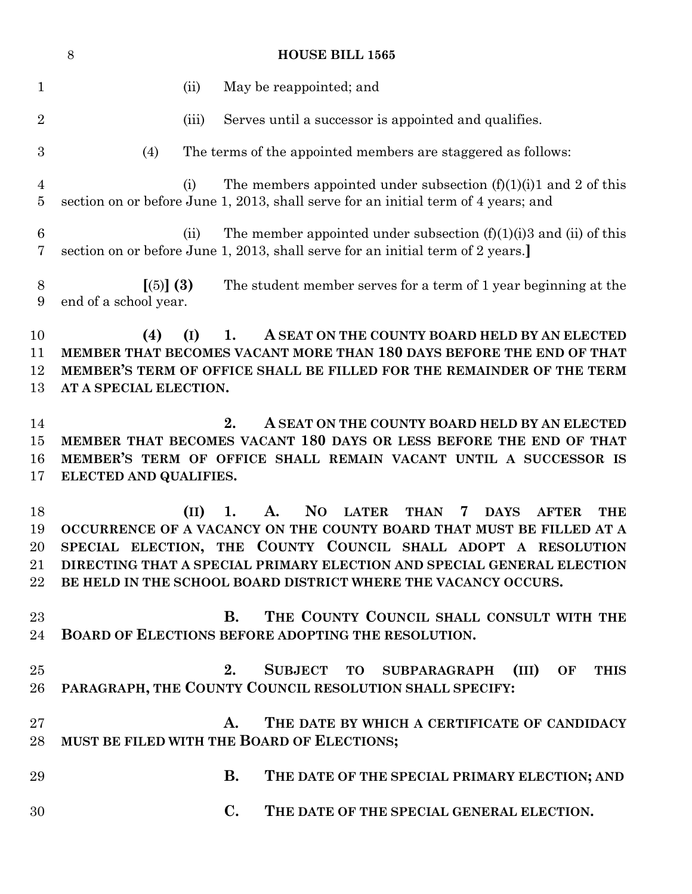|                                | $8\,$                              |       | <b>HOUSE BILL 1565</b>                                                                                                                                                                                                                                                                                                                                                                      |
|--------------------------------|------------------------------------|-------|---------------------------------------------------------------------------------------------------------------------------------------------------------------------------------------------------------------------------------------------------------------------------------------------------------------------------------------------------------------------------------------------|
| $\mathbf{1}$                   |                                    | (ii)  | May be reappointed; and                                                                                                                                                                                                                                                                                                                                                                     |
| $\overline{2}$                 |                                    | (iii) | Serves until a successor is appointed and qualifies.                                                                                                                                                                                                                                                                                                                                        |
| 3                              | (4)                                |       | The terms of the appointed members are staggered as follows:                                                                                                                                                                                                                                                                                                                                |
| 4<br>5                         |                                    | (i)   | The members appointed under subsection $(f)(1)(i)1$ and 2 of this<br>section on or before June 1, 2013, shall serve for an initial term of 4 years; and                                                                                                                                                                                                                                     |
| $6\phantom{.}6$<br>7           |                                    | (ii)  | The member appointed under subsection $(f)(1)(i)$ and $(ii)$ of this<br>section on or before June 1, 2013, shall serve for an initial term of 2 years.]                                                                                                                                                                                                                                     |
| 8<br>9                         | [(5)] (3)<br>end of a school year. |       | The student member serves for a term of 1 year beginning at the                                                                                                                                                                                                                                                                                                                             |
| 10<br>11<br>12<br>13           | (4)<br>AT A SPECIAL ELECTION.      | (I)   | 1.<br>A SEAT ON THE COUNTY BOARD HELD BY AN ELECTED<br>MEMBER THAT BECOMES VACANT MORE THAN 180 DAYS BEFORE THE END OF THAT<br>MEMBER'S TERM OF OFFICE SHALL BE FILLED FOR THE REMAINDER OF THE TERM                                                                                                                                                                                        |
| 14<br>$15\,$<br>16<br>17       | ELECTED AND QUALIFIES.             |       | 2.<br>A SEAT ON THE COUNTY BOARD HELD BY AN ELECTED<br>MEMBER THAT BECOMES VACANT 180 DAYS OR LESS BEFORE THE END OF THAT<br>MEMBER'S TERM OF OFFICE SHALL REMAIN VACANT UNTIL A SUCCESSOR IS                                                                                                                                                                                               |
| 18<br>19<br>20<br>21<br>$22\,$ |                                    | (II)  | <b>NO</b><br><b>LATER</b><br>1.<br>A.<br><b>THAN</b><br><b>THE</b><br>7<br><b>DAYS</b><br><b>AFTER</b><br>OCCURRENCE OF A VACANCY ON THE COUNTY BOARD THAT MUST BE FILLED AT A<br>SPECIAL ELECTION, THE COUNTY COUNCIL SHALL ADOPT A RESOLUTION<br>DIRECTING THAT A SPECIAL PRIMARY ELECTION AND SPECIAL GENERAL ELECTION<br>BE HELD IN THE SCHOOL BOARD DISTRICT WHERE THE VACANCY OCCURS. |
| 23<br>24                       |                                    |       | B. THE COUNTY COUNCIL SHALL CONSULT WITH THE<br><b>BOARD OF ELECTIONS BEFORE ADOPTING THE RESOLUTION.</b>                                                                                                                                                                                                                                                                                   |
| 25<br>26                       |                                    |       | SUBJECT TO SUBPARAGRAPH (III) OF<br>2.<br><b>THIS</b><br>PARAGRAPH, THE COUNTY COUNCIL RESOLUTION SHALL SPECIFY:                                                                                                                                                                                                                                                                            |
| $27\,$<br>28                   |                                    |       | THE DATE BY WHICH A CERTIFICATE OF CANDIDACY<br>A.<br>MUST BE FILED WITH THE BOARD OF ELECTIONS;                                                                                                                                                                                                                                                                                            |
| 29                             |                                    |       | <b>B.</b><br>THE DATE OF THE SPECIAL PRIMARY ELECTION; AND                                                                                                                                                                                                                                                                                                                                  |
| 30                             |                                    |       | $\mathbf{C}$ .<br>THE DATE OF THE SPECIAL GENERAL ELECTION.                                                                                                                                                                                                                                                                                                                                 |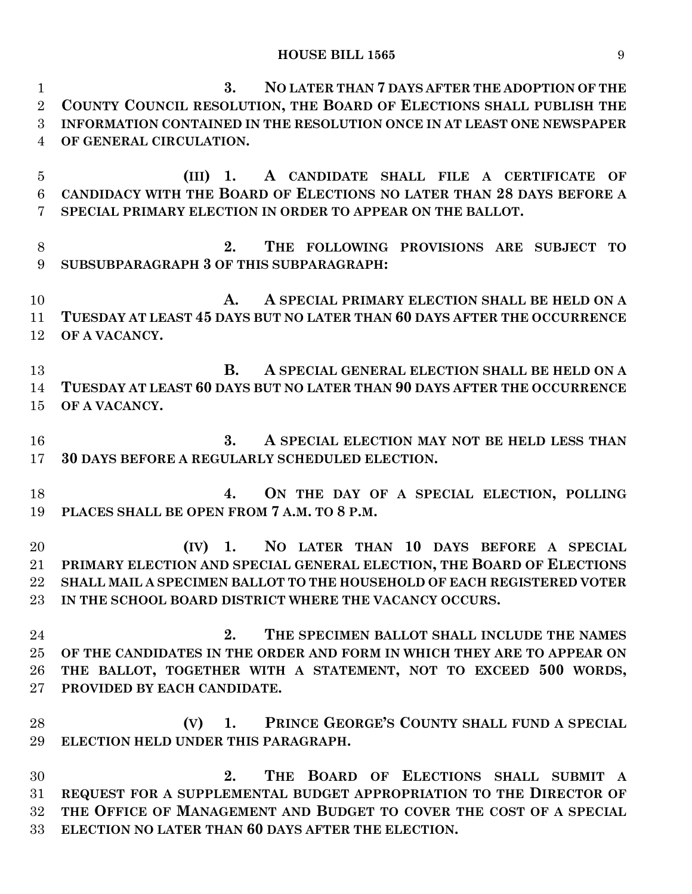**3. NO LATER THAN 7 DAYS AFTER THE ADOPTION OF THE COUNTY COUNCIL RESOLUTION, THE BOARD OF ELECTIONS SHALL PUBLISH THE INFORMATION CONTAINED IN THE RESOLUTION ONCE IN AT LEAST ONE NEWSPAPER OF GENERAL CIRCULATION. (III) 1. A CANDIDATE SHALL FILE A CERTIFICATE OF CANDIDACY WITH THE BOARD OF ELECTIONS NO LATER THAN 28 DAYS BEFORE A SPECIAL PRIMARY ELECTION IN ORDER TO APPEAR ON THE BALLOT. 2. THE FOLLOWING PROVISIONS ARE SUBJECT TO SUBSUBPARAGRAPH 3 OF THIS SUBPARAGRAPH: A. A SPECIAL PRIMARY ELECTION SHALL BE HELD ON A TUESDAY AT LEAST 45 DAYS BUT NO LATER THAN 60 DAYS AFTER THE OCCURRENCE OF A VACANCY. B. A SPECIAL GENERAL ELECTION SHALL BE HELD ON A TUESDAY AT LEAST 60 DAYS BUT NO LATER THAN 90 DAYS AFTER THE OCCURRENCE OF A VACANCY. 3. A SPECIAL ELECTION MAY NOT BE HELD LESS THAN 30 DAYS BEFORE A REGULARLY SCHEDULED ELECTION. 4. ON THE DAY OF A SPECIAL ELECTION, POLLING PLACES SHALL BE OPEN FROM 7 A.M. TO 8 P.M. (IV) 1. NO LATER THAN 10 DAYS BEFORE A SPECIAL PRIMARY ELECTION AND SPECIAL GENERAL ELECTION, THE BOARD OF ELECTIONS SHALL MAIL A SPECIMEN BALLOT TO THE HOUSEHOLD OF EACH REGISTERED VOTER IN THE SCHOOL BOARD DISTRICT WHERE THE VACANCY OCCURS. 2. THE SPECIMEN BALLOT SHALL INCLUDE THE NAMES OF THE CANDIDATES IN THE ORDER AND FORM IN WHICH THEY ARE TO APPEAR ON THE BALLOT, TOGETHER WITH A STATEMENT, NOT TO EXCEED 500 WORDS, PROVIDED BY EACH CANDIDATE. (V) 1. PRINCE GEORGE'S COUNTY SHALL FUND A SPECIAL ELECTION HELD UNDER THIS PARAGRAPH. 2. THE BOARD OF ELECTIONS SHALL SUBMIT A REQUEST FOR A SUPPLEMENTAL BUDGET APPROPRIATION TO THE DIRECTOR OF THE OFFICE OF MANAGEMENT AND BUDGET TO COVER THE COST OF A SPECIAL ELECTION NO LATER THAN 60 DAYS AFTER THE ELECTION.**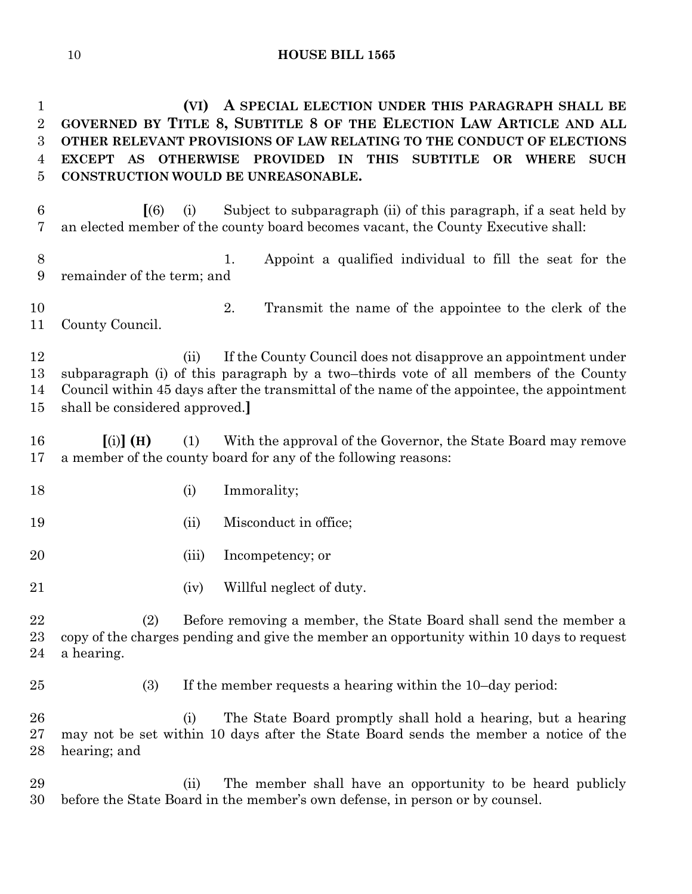**(VI) A SPECIAL ELECTION UNDER THIS PARAGRAPH SHALL BE GOVERNED BY TITLE 8, SUBTITLE 8 OF THE ELECTION LAW ARTICLE AND ALL OTHER RELEVANT PROVISIONS OF LAW RELATING TO THE CONDUCT OF ELECTIONS EXCEPT AS OTHERWISE PROVIDED IN THIS SUBTITLE OR WHERE SUCH CONSTRUCTION WOULD BE UNREASONABLE.**

- **[**(6) (i) Subject to subparagraph (ii) of this paragraph, if a seat held by an elected member of the county board becomes vacant, the County Executive shall:
- 1. Appoint a qualified individual to fill the seat for the remainder of the term; and
- 2. Transmit the name of the appointee to the clerk of the County Council.

 (ii) If the County Council does not disapprove an appointment under subparagraph (i) of this paragraph by a two–thirds vote of all members of the County Council within 45 days after the transmittal of the name of the appointee, the appointment shall be considered approved.**]**

- **[**(i)**] (H)** (1) With the approval of the Governor, the State Board may remove a member of the county board for any of the following reasons:
- 18 (i) Immorality;
- 19 (ii) Misconduct in office;
- (iii) Incompetency; or
- 21 (iv) Willful neglect of duty.

 (2) Before removing a member, the State Board shall send the member a copy of the charges pending and give the member an opportunity within 10 days to request a hearing.

- 
- (3) If the member requests a hearing within the 10–day period:

 (i) The State Board promptly shall hold a hearing, but a hearing may not be set within 10 days after the State Board sends the member a notice of the hearing; and

 (ii) The member shall have an opportunity to be heard publicly before the State Board in the member's own defense, in person or by counsel.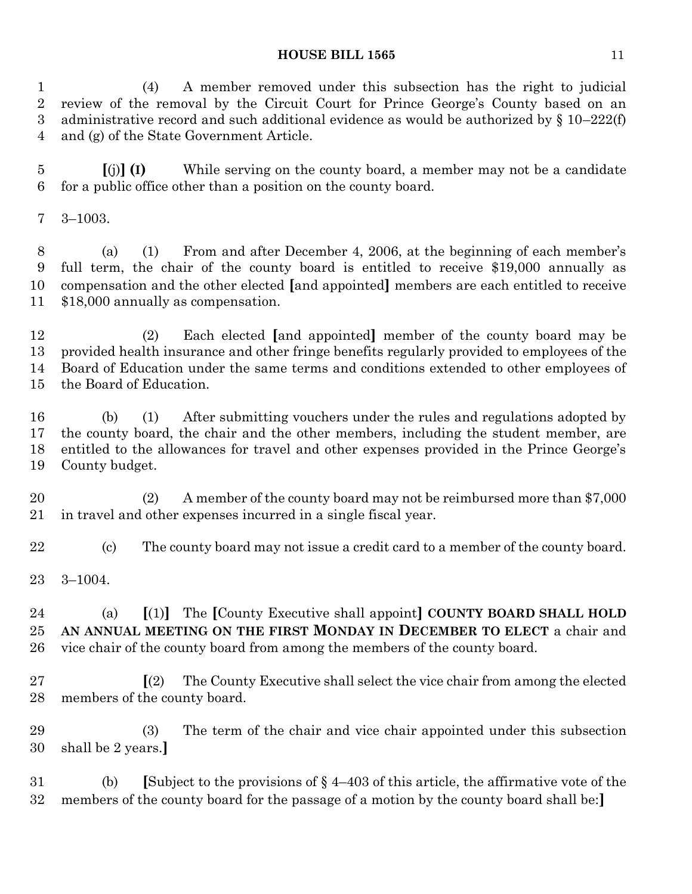(4) A member removed under this subsection has the right to judicial review of the removal by the Circuit Court for Prince George's County based on an administrative record and such additional evidence as would be authorized by § 10–222(f) and (g) of the State Government Article.

 **[**(j)**] (I)** While serving on the county board, a member may not be a candidate for a public office other than a position on the county board.

3–1003.

 (a) (1) From and after December 4, 2006, at the beginning of each member's full term, the chair of the county board is entitled to receive \$19,000 annually as compensation and the other elected **[**and appointed**]** members are each entitled to receive \$18,000 annually as compensation.

 (2) Each elected **[**and appointed**]** member of the county board may be provided health insurance and other fringe benefits regularly provided to employees of the Board of Education under the same terms and conditions extended to other employees of the Board of Education.

 (b) (1) After submitting vouchers under the rules and regulations adopted by the county board, the chair and the other members, including the student member, are entitled to the allowances for travel and other expenses provided in the Prince George's County budget.

 (2) A member of the county board may not be reimbursed more than \$7,000 in travel and other expenses incurred in a single fiscal year.

- (c) The county board may not issue a credit card to a member of the county board.
- 3–1004.

 (a) **[**(1)**]** The **[**County Executive shall appoint**] COUNTY BOARD SHALL HOLD AN ANNUAL MEETING ON THE FIRST MONDAY IN DECEMBER TO ELECT** a chair and vice chair of the county board from among the members of the county board.

 **[**(2) The County Executive shall select the vice chair from among the elected members of the county board.

 (3) The term of the chair and vice chair appointed under this subsection shall be 2 years.**]**

 (b) **[**Subject to the provisions of § 4–403 of this article, the affirmative vote of the members of the county board for the passage of a motion by the county board shall be:**]**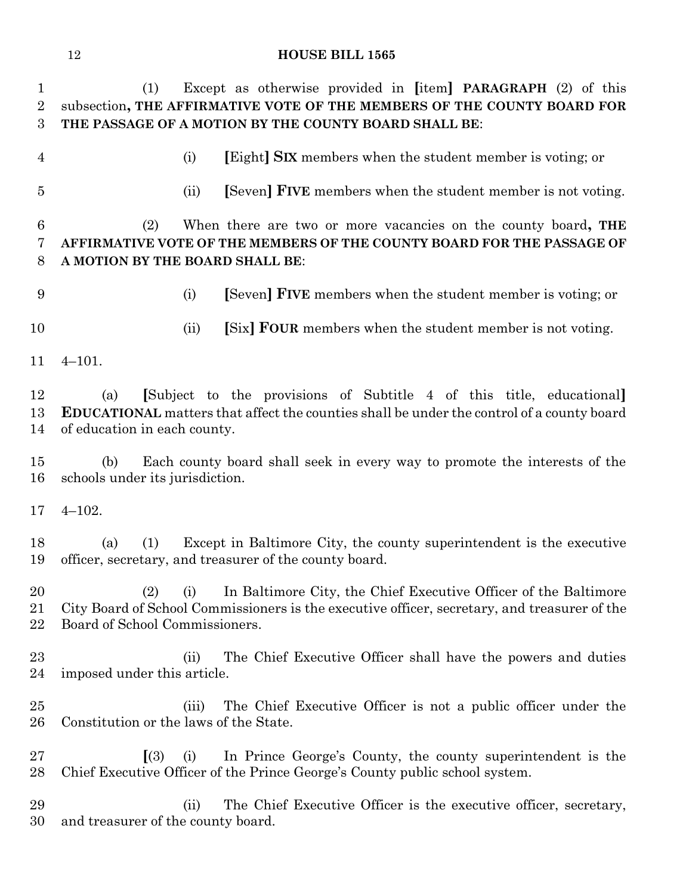(1) Except as otherwise provided in **[**item**] PARAGRAPH** (2) of this subsection**, THE AFFIRMATIVE VOTE OF THE MEMBERS OF THE COUNTY BOARD FOR THE PASSAGE OF A MOTION BY THE COUNTY BOARD SHALL BE**:

- 
- (i) **[**Eight**] SIX** members when the student member is voting; or
- 
- (ii) **[**Seven**] FIVE** members when the student member is not voting.

 (2) When there are two or more vacancies on the county board**, THE AFFIRMATIVE VOTE OF THE MEMBERS OF THE COUNTY BOARD FOR THE PASSAGE OF A MOTION BY THE BOARD SHALL BE**:

- 
- (i) **[**Seven**] FIVE** members when the student member is voting; or

(ii) **[**Six**] FOUR** members when the student member is not voting.

4–101.

 (a) **[**Subject to the provisions of Subtitle 4 of this title, educational**] EDUCATIONAL** matters that affect the counties shall be under the control of a county board of education in each county.

 (b) Each county board shall seek in every way to promote the interests of the schools under its jurisdiction.

4–102.

 (a) (1) Except in Baltimore City, the county superintendent is the executive officer, secretary, and treasurer of the county board.

 (2) (i) In Baltimore City, the Chief Executive Officer of the Baltimore City Board of School Commissioners is the executive officer, secretary, and treasurer of the Board of School Commissioners.

- 23 (ii) The Chief Executive Officer shall have the powers and duties imposed under this article.
- (iii) The Chief Executive Officer is not a public officer under the Constitution or the laws of the State.
- **[**(3) (i) In Prince George's County, the county superintendent is the Chief Executive Officer of the Prince George's County public school system.

 (ii) The Chief Executive Officer is the executive officer, secretary, and treasurer of the county board.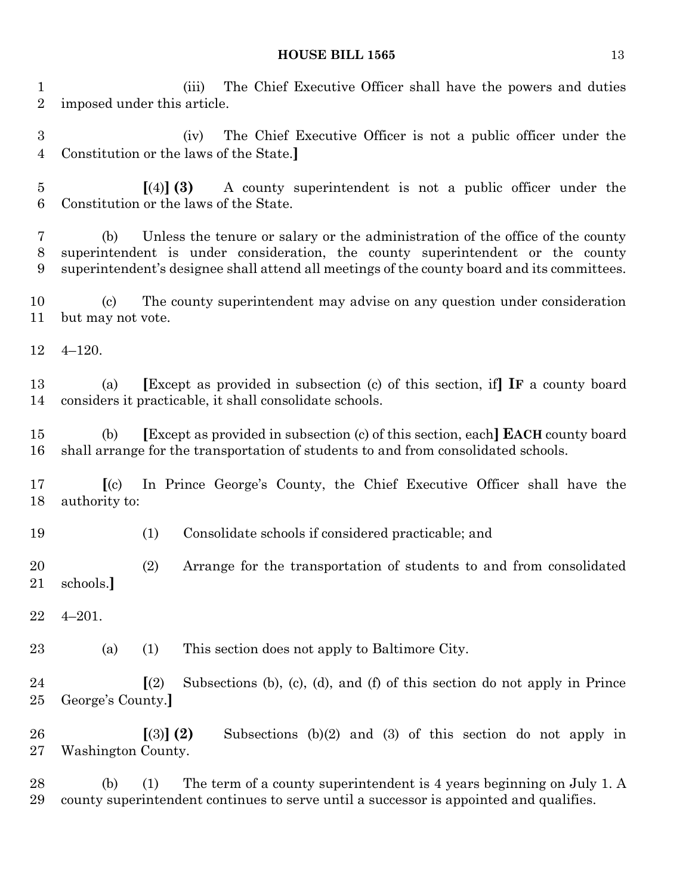(iii) The Chief Executive Officer shall have the powers and duties imposed under this article.

 (iv) The Chief Executive Officer is not a public officer under the Constitution or the laws of the State.**]**

 **[**(4)**] (3)** A county superintendent is not a public officer under the Constitution or the laws of the State.

 (b) Unless the tenure or salary or the administration of the office of the county superintendent is under consideration, the county superintendent or the county superintendent's designee shall attend all meetings of the county board and its committees.

 (c) The county superintendent may advise on any question under consideration but may not vote.

4–120.

 (a) **[**Except as provided in subsection (c) of this section, if**] IF** a county board considers it practicable, it shall consolidate schools.

 (b) **[**Except as provided in subsection (c) of this section, each**] EACH** county board shall arrange for the transportation of students to and from consolidated schools.

 **[**(c) In Prince George's County, the Chief Executive Officer shall have the authority to:

(1) Consolidate schools if considered practicable; and

 (2) Arrange for the transportation of students to and from consolidated schools.**]**

4–201.

(a) (1) This section does not apply to Baltimore City.

 **[**(2) Subsections (b), (c), (d), and (f) of this section do not apply in Prince George's County.**]**

 **[**(3)**] (2)** Subsections (b)(2) and (3) of this section do not apply in Washington County.

 (b) (1) The term of a county superintendent is 4 years beginning on July 1. A county superintendent continues to serve until a successor is appointed and qualifies.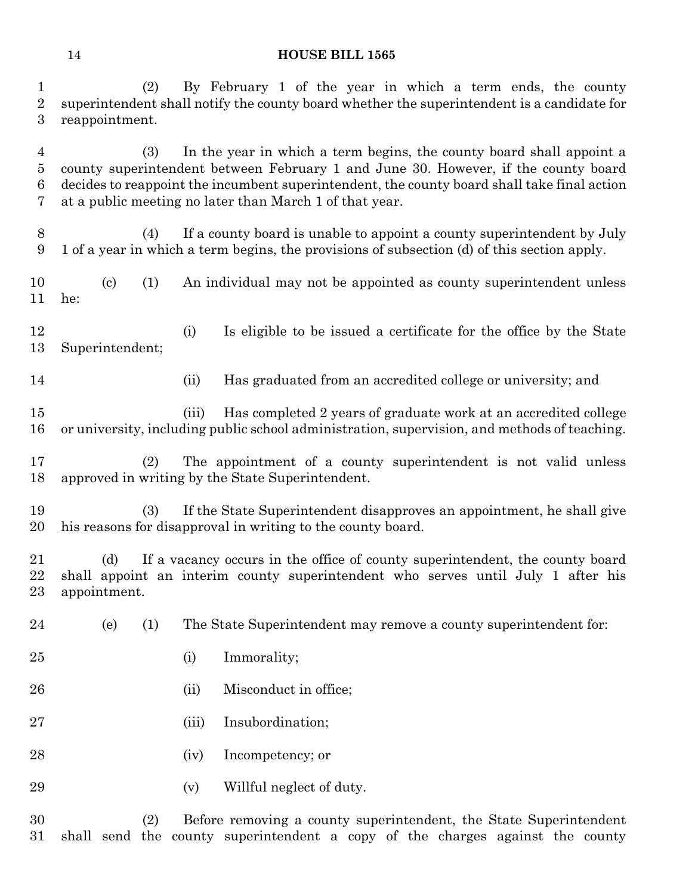(2) By February 1 of the year in which a term ends, the county superintendent shall notify the county board whether the superintendent is a candidate for reappointment.

 (3) In the year in which a term begins, the county board shall appoint a county superintendent between February 1 and June 30. However, if the county board decides to reappoint the incumbent superintendent, the county board shall take final action at a public meeting no later than March 1 of that year.

 (4) If a county board is unable to appoint a county superintendent by July 1 of a year in which a term begins, the provisions of subsection (d) of this section apply.

 (c) (1) An individual may not be appointed as county superintendent unless he:

 (i) Is eligible to be issued a certificate for the office by the State Superintendent;

(ii) Has graduated from an accredited college or university; and

 (iii) Has completed 2 years of graduate work at an accredited college or university, including public school administration, supervision, and methods of teaching.

 (2) The appointment of a county superintendent is not valid unless approved in writing by the State Superintendent.

 (3) If the State Superintendent disapproves an appointment, he shall give his reasons for disapproval in writing to the county board.

 (d) If a vacancy occurs in the office of county superintendent, the county board shall appoint an interim county superintendent who serves until July 1 after his appointment.

(e) (1) The State Superintendent may remove a county superintendent for:

- 25 (i) Immorality;
- 26 (ii) Misconduct in office;
- (iii) Insubordination;
- (iv) Incompetency; or
- 29 (v) Willful neglect of duty.

 (2) Before removing a county superintendent, the State Superintendent shall send the county superintendent a copy of the charges against the county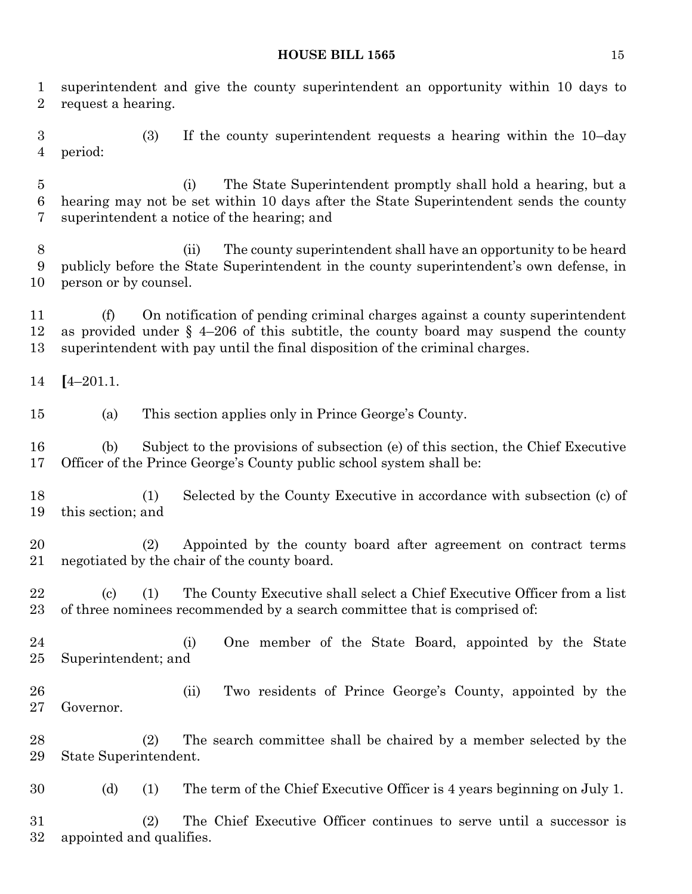superintendent and give the county superintendent an opportunity within 10 days to request a hearing. (3) If the county superintendent requests a hearing within the 10–day period: (i) The State Superintendent promptly shall hold a hearing, but a hearing may not be set within 10 days after the State Superintendent sends the county superintendent a notice of the hearing; and (ii) The county superintendent shall have an opportunity to be heard publicly before the State Superintendent in the county superintendent's own defense, in person or by counsel. (f) On notification of pending criminal charges against a county superintendent as provided under § 4–206 of this subtitle, the county board may suspend the county superintendent with pay until the final disposition of the criminal charges. **[**4–201.1. (a) This section applies only in Prince George's County. (b) Subject to the provisions of subsection (e) of this section, the Chief Executive Officer of the Prince George's County public school system shall be: (1) Selected by the County Executive in accordance with subsection (c) of this section; and (2) Appointed by the county board after agreement on contract terms negotiated by the chair of the county board. (c) (1) The County Executive shall select a Chief Executive Officer from a list 23 of three nominees recommended by a search committee that is comprised of: (i) One member of the State Board, appointed by the State Superintendent; and (ii) Two residents of Prince George's County, appointed by the Governor. (2) The search committee shall be chaired by a member selected by the State Superintendent. (d) (1) The term of the Chief Executive Officer is 4 years beginning on July 1. (2) The Chief Executive Officer continues to serve until a successor is appointed and qualifies.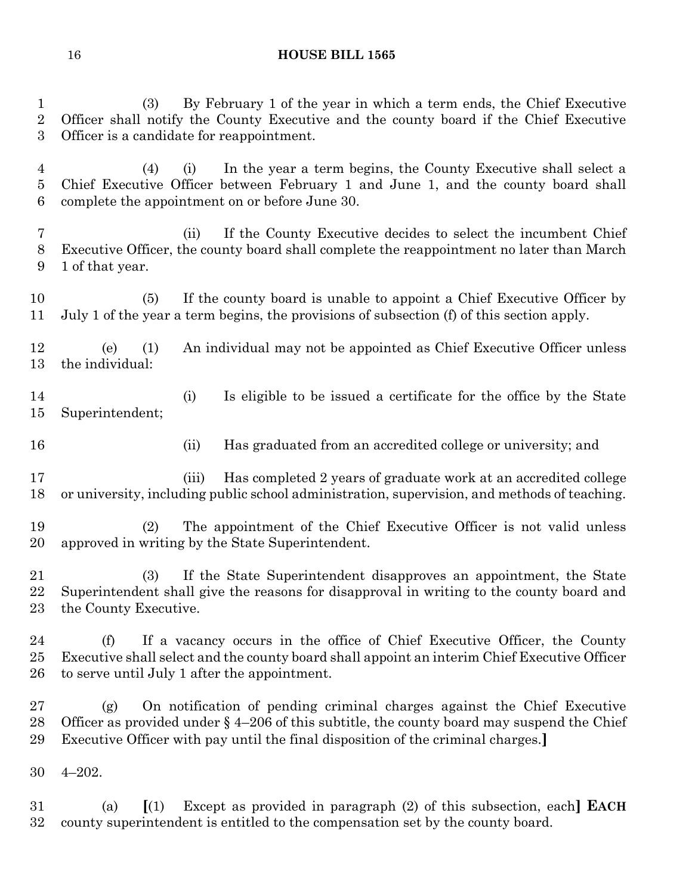(3) By February 1 of the year in which a term ends, the Chief Executive Officer shall notify the County Executive and the county board if the Chief Executive Officer is a candidate for reappointment. (4) (i) In the year a term begins, the County Executive shall select a Chief Executive Officer between February 1 and June 1, and the county board shall complete the appointment on or before June 30. (ii) If the County Executive decides to select the incumbent Chief Executive Officer, the county board shall complete the reappointment no later than March 1 of that year. (5) If the county board is unable to appoint a Chief Executive Officer by July 1 of the year a term begins, the provisions of subsection (f) of this section apply. (e) (1) An individual may not be appointed as Chief Executive Officer unless the individual: (i) Is eligible to be issued a certificate for the office by the State Superintendent; (ii) Has graduated from an accredited college or university; and (iii) Has completed 2 years of graduate work at an accredited college or university, including public school administration, supervision, and methods of teaching. (2) The appointment of the Chief Executive Officer is not valid unless approved in writing by the State Superintendent. (3) If the State Superintendent disapproves an appointment, the State Superintendent shall give the reasons for disapproval in writing to the county board and the County Executive. (f) If a vacancy occurs in the office of Chief Executive Officer, the County Executive shall select and the county board shall appoint an interim Chief Executive Officer to serve until July 1 after the appointment. (g) On notification of pending criminal charges against the Chief Executive 28 Officer as provided under  $\S 4-206$  of this subtitle, the county board may suspend the Chief Executive Officer with pay until the final disposition of the criminal charges.**]** 4–202.

 (a) **[**(1) Except as provided in paragraph (2) of this subsection, each**] EACH** county superintendent is entitled to the compensation set by the county board.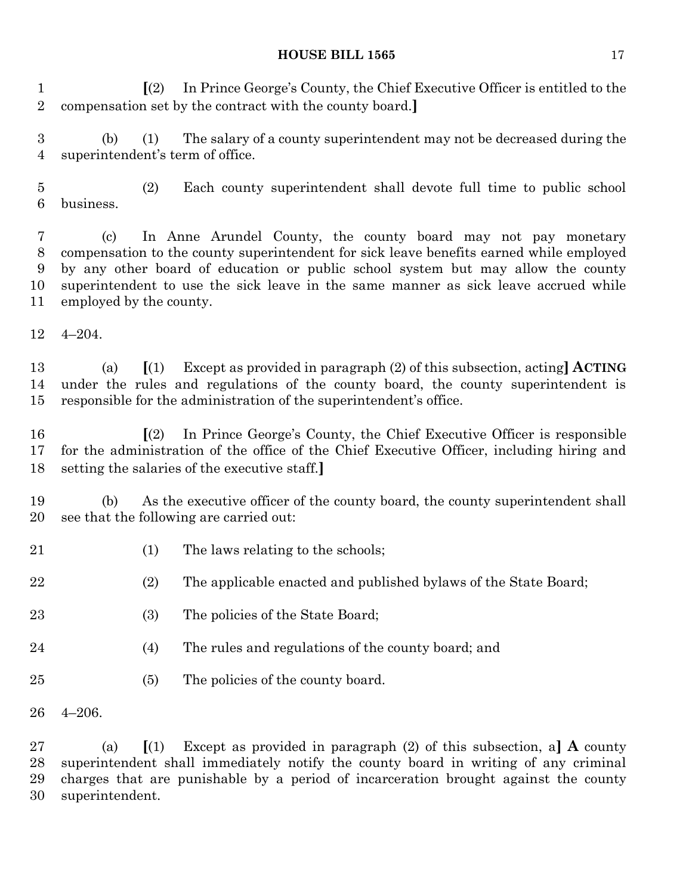**[**(2) In Prince George's County, the Chief Executive Officer is entitled to the compensation set by the contract with the county board.**]**

 (b) (1) The salary of a county superintendent may not be decreased during the superintendent's term of office.

 (2) Each county superintendent shall devote full time to public school business.

 (c) In Anne Arundel County, the county board may not pay monetary compensation to the county superintendent for sick leave benefits earned while employed by any other board of education or public school system but may allow the county superintendent to use the sick leave in the same manner as sick leave accrued while employed by the county.

4–204.

 (a) **[**(1) Except as provided in paragraph (2) of this subsection, acting**] ACTING** under the rules and regulations of the county board, the county superintendent is responsible for the administration of the superintendent's office.

 **[**(2) In Prince George's County, the Chief Executive Officer is responsible for the administration of the office of the Chief Executive Officer, including hiring and setting the salaries of the executive staff.**]**

 (b) As the executive officer of the county board, the county superintendent shall see that the following are carried out:

21 (1) The laws relating to the schools;

(2) The applicable enacted and published bylaws of the State Board;

- 23 (3) The policies of the State Board;
- 24 (4) The rules and regulations of the county board; and
- (5) The policies of the county board.
- 4–206.

 (a) **[**(1) Except as provided in paragraph (2) of this subsection, a**] A** county superintendent shall immediately notify the county board in writing of any criminal charges that are punishable by a period of incarceration brought against the county superintendent.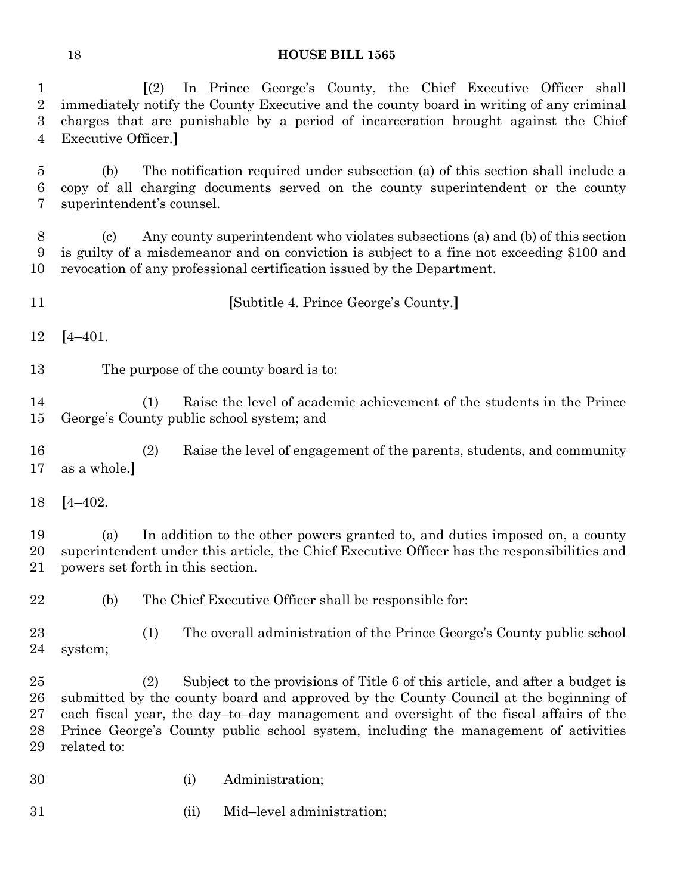**[**(2) In Prince George's County, the Chief Executive Officer shall

 immediately notify the County Executive and the county board in writing of any criminal charges that are punishable by a period of incarceration brought against the Chief Executive Officer.**]** (b) The notification required under subsection (a) of this section shall include a copy of all charging documents served on the county superintendent or the county superintendent's counsel. (c) Any county superintendent who violates subsections (a) and (b) of this section is guilty of a misdemeanor and on conviction is subject to a fine not exceeding \$100 and revocation of any professional certification issued by the Department. **[**Subtitle 4. Prince George's County.**] [**4–401. The purpose of the county board is to: (1) Raise the level of academic achievement of the students in the Prince George's County public school system; and (2) Raise the level of engagement of the parents, students, and community as a whole.**] [**4–402. (a) In addition to the other powers granted to, and duties imposed on, a county superintendent under this article, the Chief Executive Officer has the responsibilities and powers set forth in this section. (b) The Chief Executive Officer shall be responsible for: (1) The overall administration of the Prince George's County public school

system;

 (2) Subject to the provisions of Title 6 of this article, and after a budget is submitted by the county board and approved by the County Council at the beginning of each fiscal year, the day–to–day management and oversight of the fiscal affairs of the Prince George's County public school system, including the management of activities related to:

- (i) Administration;
- (ii) Mid–level administration;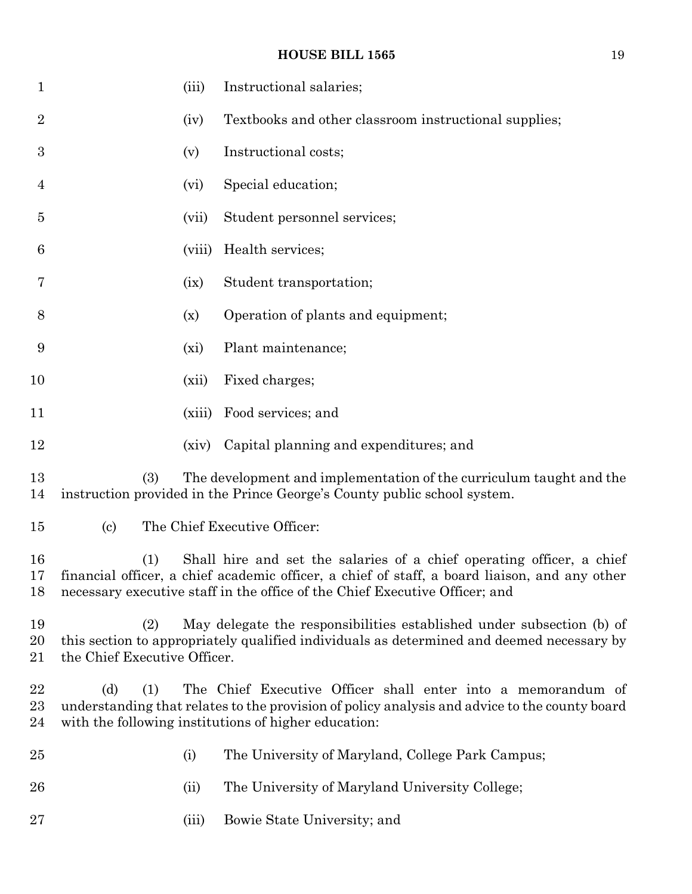| $\mathbf{1}$         |                                     | (iii)   | Instructional salaries;                                                                                                                                                                                                                               |
|----------------------|-------------------------------------|---------|-------------------------------------------------------------------------------------------------------------------------------------------------------------------------------------------------------------------------------------------------------|
| $\overline{2}$       |                                     | (iv)    | Textbooks and other classroom instructional supplies;                                                                                                                                                                                                 |
| $\boldsymbol{3}$     |                                     | (v)     | Instructional costs;                                                                                                                                                                                                                                  |
| 4                    |                                     | (vi)    | Special education;                                                                                                                                                                                                                                    |
| 5                    |                                     | (vii)   | Student personnel services;                                                                                                                                                                                                                           |
| 6                    |                                     | (viii)  | Health services;                                                                                                                                                                                                                                      |
| 7                    |                                     | (ix)    | Student transportation;                                                                                                                                                                                                                               |
| 8                    |                                     | (x)     | Operation of plants and equipment;                                                                                                                                                                                                                    |
| 9                    |                                     | $(x_i)$ | Plant maintenance;                                                                                                                                                                                                                                    |
| 10                   |                                     | (xii)   | Fixed charges;                                                                                                                                                                                                                                        |
| 11                   |                                     | (xiii)  | Food services; and                                                                                                                                                                                                                                    |
| 12                   |                                     | (xiv)   | Capital planning and expenditures; and                                                                                                                                                                                                                |
| 13<br>14             | (3)                                 |         | The development and implementation of the curriculum taught and the<br>instruction provided in the Prince George's County public school system.                                                                                                       |
| 15                   | $\left( \text{c}\right)$            |         | The Chief Executive Officer:                                                                                                                                                                                                                          |
| 16<br>17<br>18       | (1)                                 |         | Shall hire and set the salaries of a chief operating officer, a chief<br>financial officer, a chief academic officer, a chief of staff, a board liaison, and any other<br>necessary executive staff in the office of the Chief Executive Officer; and |
| 19<br>20<br>21       | (2)<br>the Chief Executive Officer. |         | May delegate the responsibilities established under subsection (b) of<br>this section to appropriately qualified individuals as determined and deemed necessary by                                                                                    |
| 22<br>$\rm 23$<br>24 | (d)<br>(1)                          |         | The Chief Executive Officer shall enter into a memorandum of<br>understanding that relates to the provision of policy analysis and advice to the county board<br>with the following institutions of higher education:                                 |
| $25\,$               |                                     | (i)     | The University of Maryland, College Park Campus;                                                                                                                                                                                                      |
| 26                   |                                     | (ii)    | The University of Maryland University College;                                                                                                                                                                                                        |
| $27\,$               |                                     | (iii)   | Bowie State University; and                                                                                                                                                                                                                           |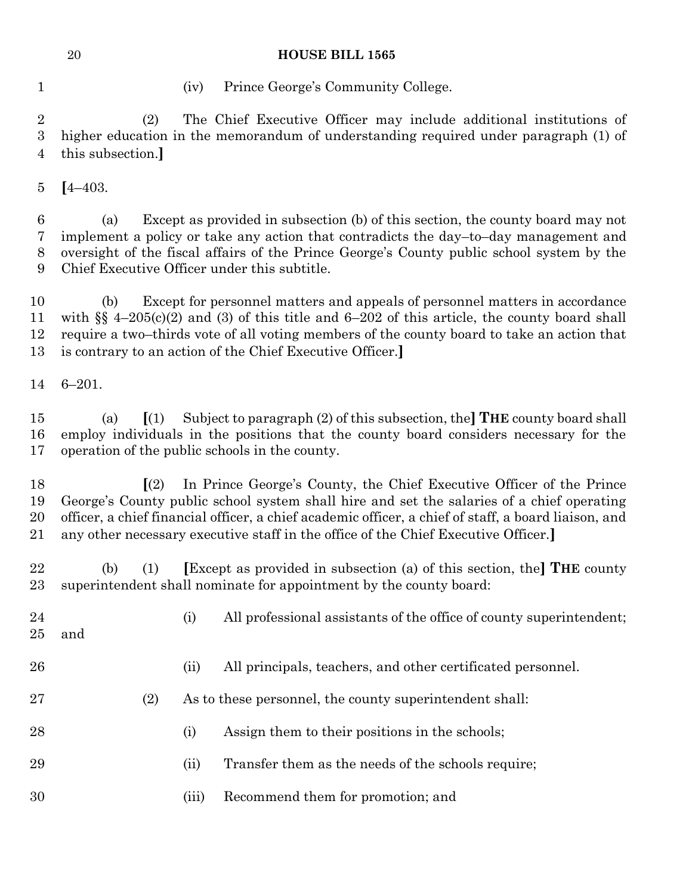(iv) Prince George's Community College.

 (2) The Chief Executive Officer may include additional institutions of higher education in the memorandum of understanding required under paragraph (1) of this subsection.**]**

**[**4–403.

 (a) Except as provided in subsection (b) of this section, the county board may not implement a policy or take any action that contradicts the day–to–day management and oversight of the fiscal affairs of the Prince George's County public school system by the Chief Executive Officer under this subtitle.

 (b) Except for personnel matters and appeals of personnel matters in accordance with §§ 4–205(c)(2) and (3) of this title and 6–202 of this article, the county board shall require a two–thirds vote of all voting members of the county board to take an action that is contrary to an action of the Chief Executive Officer.**]**

6–201.

 (a) **[**(1) Subject to paragraph (2) of this subsection, the**] THE** county board shall employ individuals in the positions that the county board considers necessary for the operation of the public schools in the county.

 **[**(2) In Prince George's County, the Chief Executive Officer of the Prince George's County public school system shall hire and set the salaries of a chief operating officer, a chief financial officer, a chief academic officer, a chief of staff, a board liaison, and any other necessary executive staff in the office of the Chief Executive Officer.**]**

 (b) (1) **[**Except as provided in subsection (a) of this section, the**] THE** county superintendent shall nominate for appointment by the county board:

- 24 (i) All professional assistants of the office of county superintendent; and (ii) All principals, teachers, and other certificated personnel. (2) As to these personnel, the county superintendent shall: 28 (i) Assign them to their positions in the schools;
- 29 (ii) Transfer them as the needs of the schools require;
- (iii) Recommend them for promotion; and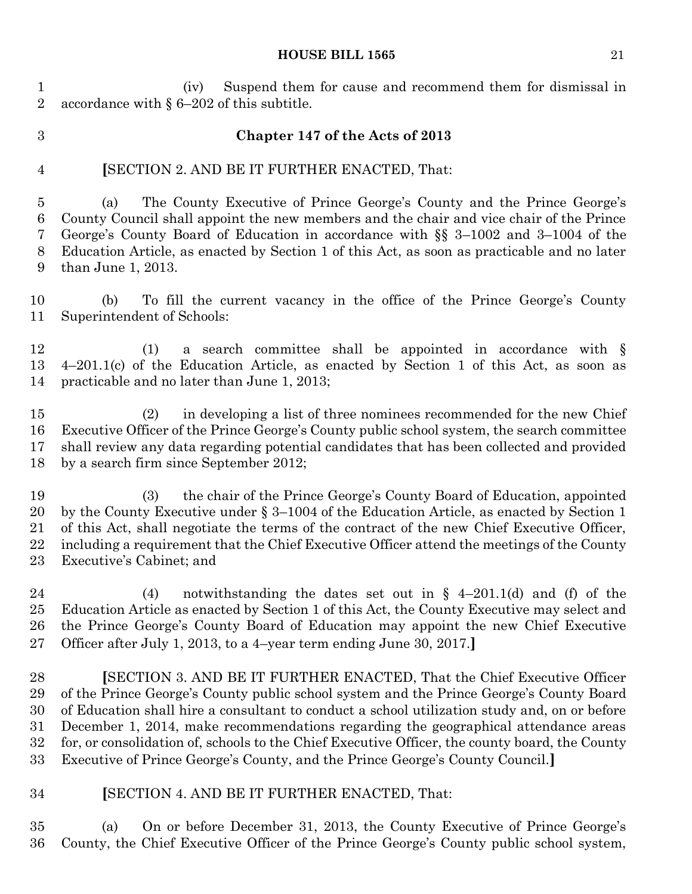(iv) Suspend them for cause and recommend them for dismissal in accordance with § 6–202 of this subtitle.

### **Chapter 147 of the Acts of 2013**

### **[**SECTION 2. AND BE IT FURTHER ENACTED, That:

 (a) The County Executive of Prince George's County and the Prince George's County Council shall appoint the new members and the chair and vice chair of the Prince George's County Board of Education in accordance with §§ 3–1002 and 3–1004 of the Education Article, as enacted by Section 1 of this Act, as soon as practicable and no later than June 1, 2013.

 (b) To fill the current vacancy in the office of the Prince George's County Superintendent of Schools:

 (1) a search committee shall be appointed in accordance with § 4–201.1(c) of the Education Article, as enacted by Section 1 of this Act, as soon as practicable and no later than June 1, 2013;

 (2) in developing a list of three nominees recommended for the new Chief Executive Officer of the Prince George's County public school system, the search committee shall review any data regarding potential candidates that has been collected and provided by a search firm since September 2012;

 (3) the chair of the Prince George's County Board of Education, appointed by the County Executive under § 3–1004 of the Education Article, as enacted by Section 1 of this Act, shall negotiate the terms of the contract of the new Chief Executive Officer, including a requirement that the Chief Executive Officer attend the meetings of the County Executive's Cabinet; and

24 (4) notwithstanding the dates set out in  $\S$  4–201.1(d) and (f) of the Education Article as enacted by Section 1 of this Act, the County Executive may select and the Prince George's County Board of Education may appoint the new Chief Executive Officer after July 1, 2013, to a 4–year term ending June 30, 2017.**]**

 **[**SECTION 3. AND BE IT FURTHER ENACTED, That the Chief Executive Officer of the Prince George's County public school system and the Prince George's County Board of Education shall hire a consultant to conduct a school utilization study and, on or before December 1, 2014, make recommendations regarding the geographical attendance areas for, or consolidation of, schools to the Chief Executive Officer, the county board, the County Executive of Prince George's County, and the Prince George's County Council.**]**

### **[**SECTION 4. AND BE IT FURTHER ENACTED, That:

 (a) On or before December 31, 2013, the County Executive of Prince George's County, the Chief Executive Officer of the Prince George's County public school system,